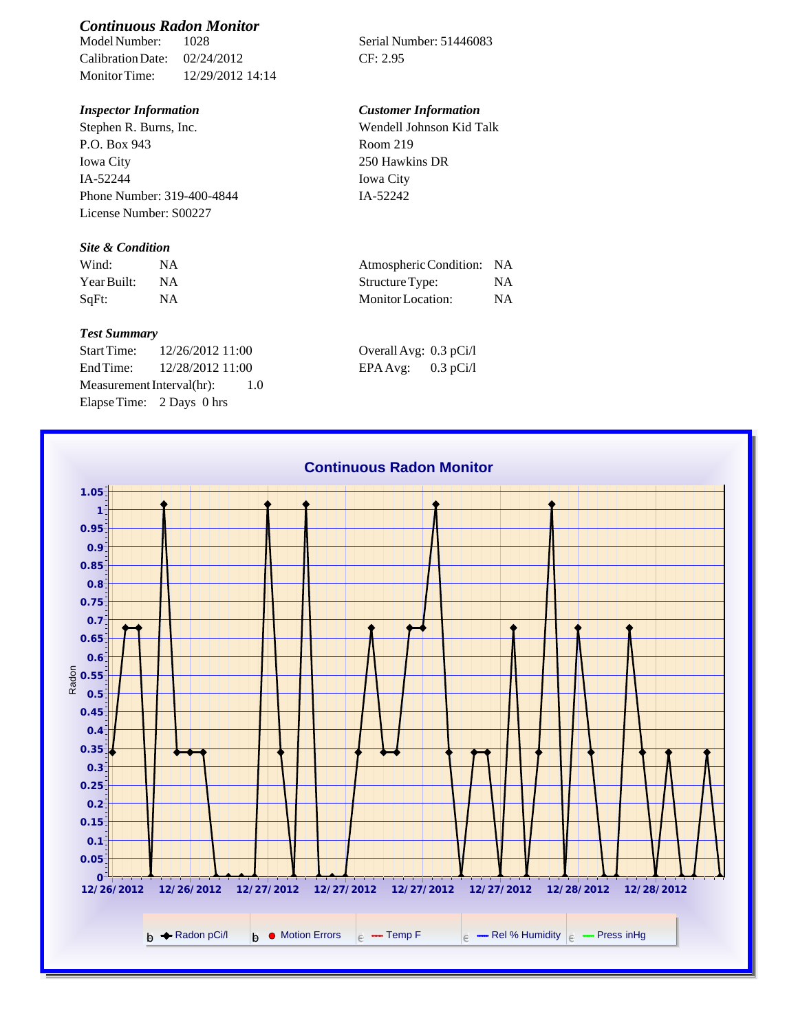# *Continuous Radon Monitor*

Calibration Date: 02/24/2012 CF: 2.95 Monitor Time: 12/29/2012 14:14

Stephen R. Burns, Inc. P.O. Box 943 Iowa City IA-52244 Phone Number: 319-400-4844 License Number: S00227

### *Site & Condition*

| Wind:       |           | Atmospheric Condition: NA |    |
|-------------|-----------|---------------------------|----|
| Year Built: | <b>NA</b> | Structure Type:           | NΑ |
| SqFt:       | ΝA        | Monitor Location:         | NΑ |

#### *Test Summary*

Start Time: 12/26/2012 11:00 End Time:  $12/28/2012$  11:00 Measurement Interval(hr): 1.0 Elapse Time: 2 Days 0 hrs

Serial Number: 51446083

## *Inspector Information Customer Information*

Wendell Johnson Kid Talk Room 219 250 Hawkins DR Iowa City IA-52242

| Atmospheric Condition:   | -NA       |
|--------------------------|-----------|
| Structure Type:          | NA.       |
| <b>Monitor</b> Location: | <b>NA</b> |

| Overall Avg: 0.3 pCi/l |             |
|------------------------|-------------|
| $EPAAvg$ :             | $0.3$ pCi/l |

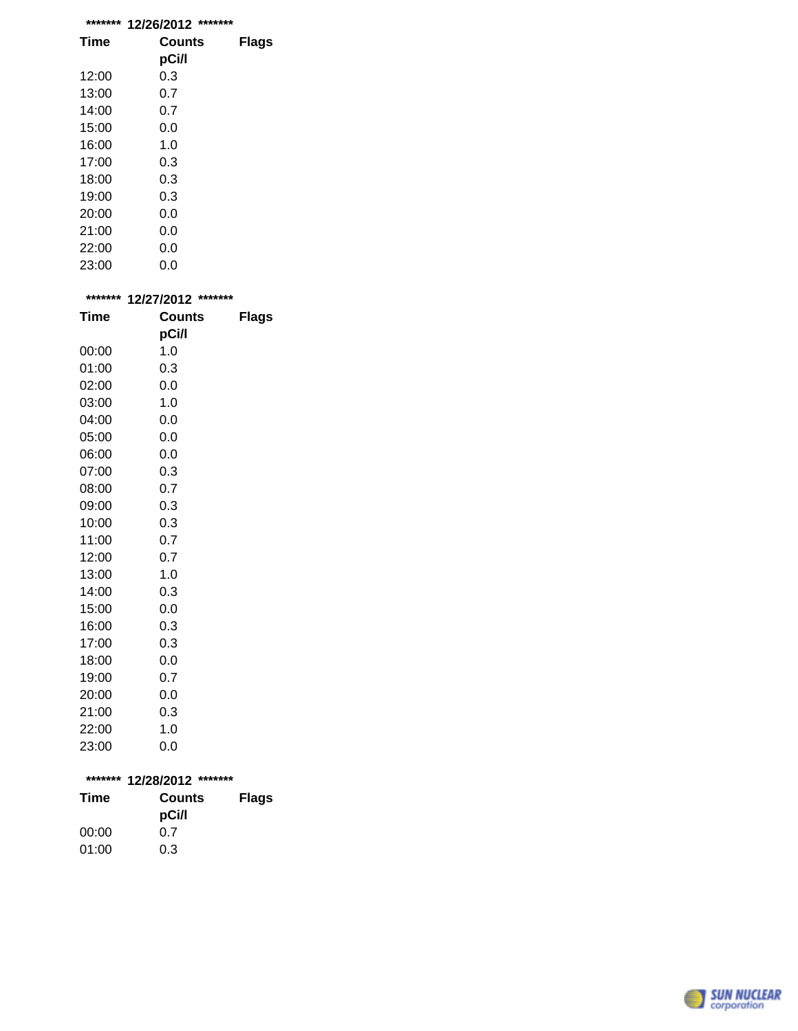| ******* | *******<br>12/26/2012 |       |
|---------|-----------------------|-------|
| Time    | Counts                | Flags |
|         | pCi/l                 |       |
| 12:00   | 0.3                   |       |
| 13:00   | 0.7                   |       |
| 14:00   | 0.7                   |       |
| 15:00   | 0.0                   |       |
| 16:00   | 1. $\Omega$           |       |
| 17:00   | 0.3                   |       |
| 18:00   | 0.3                   |       |
| 19:00   | 0.3                   |       |
| 20:00   | 0.0                   |       |
| 21:00   | 0.0                   |       |
| 22:00   | 0.0                   |       |
| 23:00   | 0.0                   |       |

| ******* | 12/27/2012 ******* |              |
|---------|--------------------|--------------|
| Time    | <b>Counts</b>      | <b>Flags</b> |
|         | pCi/l              |              |
| 00:00   | 1.0                |              |
| 01:00   | 0.3                |              |
| 02:00   | 0.0                |              |
| 03:00   | 1.0                |              |
| 04:00   | 0.0                |              |
| 05:00   | 0.0                |              |
| 06:00   | 0.0                |              |
| 07:00   | 0.3                |              |
| 08:00   | 0.7                |              |
| 09:00   | 0.3                |              |
| 10:00   | 0.3                |              |
| 11:00   | 0.7                |              |
| 12:00   | 0.7                |              |
| 13:00   | 1.0                |              |
| 14:00   | 0.3                |              |
| 15:00   | 0.0                |              |
| 16:00   | 0.3                |              |
| 17:00   | 0.3                |              |
| 18:00   | 0.0                |              |
| 19:00   | 0.7                |              |
| 20:00   | 0.0                |              |
| 21:00   | 0.3                |              |
| 22:00   | 1.0                |              |
| 23:00   | 0.0                |              |

| ******* 12/28/2012 ******* |                 |              |  |
|----------------------------|-----------------|--------------|--|
| Time                       | Counts<br>pCi/l | <b>Flags</b> |  |
| 00:00                      | 0.7             |              |  |
| 01:00                      | 0.3             |              |  |